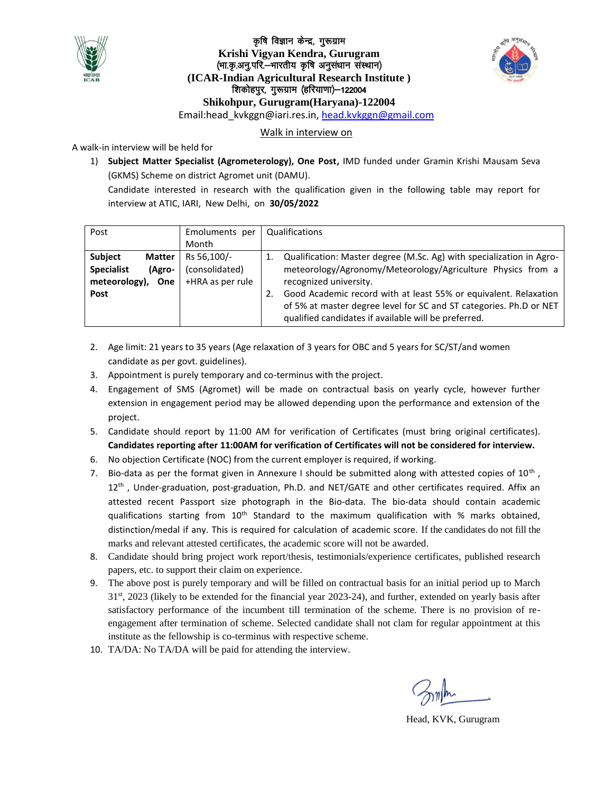

### कृषि विज्ञान केन्द्र, गुरूग्राम **Krishi Vigyan Kendra, Gurugram**  (भा.कृ.अनु.परि.—भारतीय कृषि अनुसंधान संस्थान) **(ICAR-Indian Agricultural Research Institute )** शिकोहपुर, गुरूग्राम (हरियाणा) - 122004 **Shikohpur, Gurugram(Haryana)-122004** Email:head\_kvkggn@iari.res.in, [head.kvkggn@gmail.com](mailto:head.kvkggn@gmail.com)



#### Walk in interview on

A walk-in interview will be held for

1) **Subject Matter Specialist (Agrometerology), One Post,** IMD funded under Gramin Krishi Mausam Seva (GKMS) Scheme on district Agromet unit (DAMU).

Candidate interested in research with the qualification given in the following table may report for interview at ATIC, IARI, New Delhi, on **30/05/2022**

| Post                                                         |                                | Emoluments per<br>Month                           | Qualifications                                                                                                                                                                                                                                                                                                                                                  |
|--------------------------------------------------------------|--------------------------------|---------------------------------------------------|-----------------------------------------------------------------------------------------------------------------------------------------------------------------------------------------------------------------------------------------------------------------------------------------------------------------------------------------------------------------|
| <b>Subject</b><br><b>Specialist</b><br>meteorology),<br>Post | <b>Matter</b><br>(Agro-<br>One | Rs 56,100/-<br>(consolidated)<br>+HRA as per rule | Qualification: Master degree (M.Sc. Ag) with specialization in Agro-<br>meteorology/Agronomy/Meteorology/Agriculture Physics from a<br>recognized university.<br>Good Academic record with at least 55% or equivalent. Relaxation<br>of 5% at master degree level for SC and ST categories. Ph.D or NET<br>qualified candidates if available will be preferred. |

- 2. Age limit: 21 years to 35 years (Age relaxation of 3 years for OBC and 5 years for SC/ST/and women candidate as per govt. guidelines).
- 3. Appointment is purely temporary and co-terminus with the project.
- 4. Engagement of SMS (Agromet) will be made on contractual basis on yearly cycle, however further extension in engagement period may be allowed depending upon the performance and extension of the project.
- 5. Candidate should report by 11:00 AM for verification of Certificates (must bring original certificates). **Candidates reporting after 11:00AM for verification of Certificates will not be considered for interview.**
- 6. No objection Certificate (NOC) from the current employer is required, if working.
- 7. Bio-data as per the format given in Annexure I should be submitted along with attested copies of  $10^{\text{th}}$  ,  $12<sup>th</sup>$ , Under-graduation, post-graduation, Ph.D. and NET/GATE and other certificates required. Affix an attested recent Passport size photograph in the Bio-data. The bio-data should contain academic qualifications starting from  $10<sup>th</sup>$  Standard to the maximum qualification with % marks obtained, distinction/medal if any. This is required for calculation of academic score. If the candidates do not fill the marks and relevant attested certificates, the academic score will not be awarded.
- 8. Candidate should bring project work report/thesis, testimonials/experience certificates, published research papers, etc. to support their claim on experience.
- 9. The above post is purely temporary and will be filled on contractual basis for an initial period up to March 31st, 2023 (likely to be extended for the financial year 2023-24), and further, extended on yearly basis after satisfactory performance of the incumbent till termination of the scheme. There is no provision of reengagement after termination of scheme. Selected candidate shall not clam for regular appointment at this institute as the fellowship is co-terminus with respective scheme.
- 10. TA/DA: No TA/DA will be paid for attending the interview.

Head, KVK, Gurugram